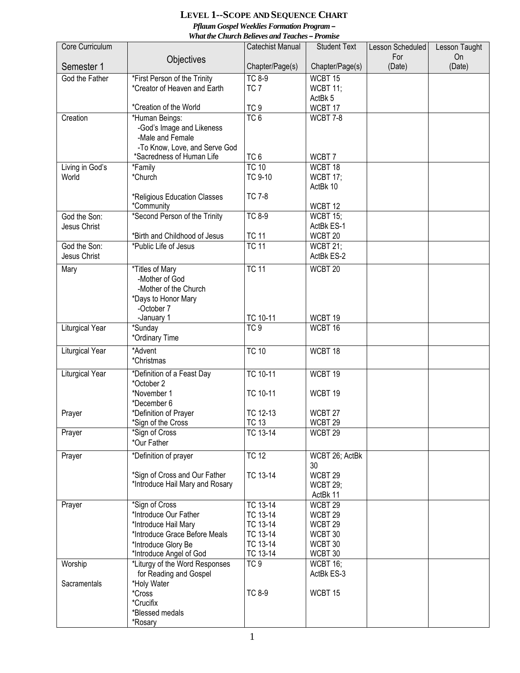## **LEVEL 1--SCOPE AND SEQUENCE CHART**  *Pflaum Gospel Weeklies Formation Program – What the Church Believes and Teaches – Promise*

| Core Curriculum          |                                       | <b>Catechist Manual</b>        | <b>Student Text</b>           | Lesson Scheduled | Lesson Taught |
|--------------------------|---------------------------------------|--------------------------------|-------------------------------|------------------|---------------|
|                          | Objectives                            |                                |                               | For              | On            |
| Semester 1               |                                       | Chapter/Page(s)                | Chapter/Page(s)               | (Date)           | (Date)        |
| God the Father           | *First Person of the Trinity          | <b>TC 8-9</b>                  | WCBT 15                       |                  |               |
|                          | *Creator of Heaven and Earth          | TC <sub>7</sub>                | WCBT 11;<br>ActBk 5           |                  |               |
|                          | *Creation of the World                | TC <sub>9</sub>                | WCBT 17                       |                  |               |
| Creation                 | *Human Beings:                        | TC <sub>6</sub>                | WCBT 7-8                      |                  |               |
|                          | -God's Image and Likeness             |                                |                               |                  |               |
|                          | -Male and Female                      |                                |                               |                  |               |
|                          | -To Know, Love, and Serve God         |                                |                               |                  |               |
|                          | *Sacredness of Human Life             | TC <sub>6</sub>                | WCBT7                         |                  |               |
| Living in God's<br>World | *Family<br>*Church                    | <b>TC 10</b><br><b>TC 9-10</b> | WCBT 18<br><b>WCBT 17;</b>    |                  |               |
|                          |                                       |                                | ActBk 10                      |                  |               |
|                          | *Religious Education Classes          | <b>TC 7-8</b>                  |                               |                  |               |
|                          | *Community                            |                                | WCBT 12                       |                  |               |
| God the Son:             | *Second Person of the Trinity         | <b>TC 8-9</b>                  | <b>WCBT 15;</b>               |                  |               |
| Jesus Christ             |                                       |                                | ActBk ES-1                    |                  |               |
|                          | *Birth and Childhood of Jesus         | <b>TC 11</b>                   | WCBT 20                       |                  |               |
| God the Son:             | *Public Life of Jesus                 | <b>TC 11</b>                   | <b>WCBT 21;</b><br>ActBk ES-2 |                  |               |
| Jesus Christ             |                                       |                                |                               |                  |               |
| Mary                     | *Titles of Mary<br>-Mother of God     | <b>TC 11</b>                   | WCBT 20                       |                  |               |
|                          | -Mother of the Church                 |                                |                               |                  |               |
|                          | *Days to Honor Mary                   |                                |                               |                  |               |
|                          | -October 7                            |                                |                               |                  |               |
|                          | -January 1                            | TC 10-11                       | WCBT 19                       |                  |               |
| Liturgical Year          | *Sunday                               | TC <sub>9</sub>                | WCBT 16                       |                  |               |
|                          | *Ordinary Time                        |                                |                               |                  |               |
| Liturgical Year          | *Advent                               | <b>TC 10</b>                   | WCBT 18                       |                  |               |
|                          | *Christmas                            |                                |                               |                  |               |
| <b>Liturgical Year</b>   | *Definition of a Feast Day            | TC 10-11                       | WCBT 19                       |                  |               |
|                          | *October 2                            |                                |                               |                  |               |
|                          | *November 1<br>*December 6            | TC 10-11                       | WCBT 19                       |                  |               |
| Prayer                   | *Definition of Prayer                 | TC 12-13                       | WCBT 27                       |                  |               |
|                          | *Sign of the Cross                    | <b>TC 13</b>                   | WCBT 29                       |                  |               |
| Prayer                   | *Sign of Cross                        | TC 13-14                       | WCBT 29                       |                  |               |
|                          | *Our Father                           |                                |                               |                  |               |
| Prayer                   | *Definition of prayer                 | <b>TC 12</b>                   | WCBT 26; ActBk                |                  |               |
|                          |                                       |                                | 30                            |                  |               |
|                          | *Sign of Cross and Our Father         | TC 13-14                       | WCBT 29                       |                  |               |
|                          | *Introduce Hail Mary and Rosary       |                                | <b>WCBT 29;</b><br>ActBk 11   |                  |               |
| Prayer                   | *Sign of Cross                        | TC 13-14                       | WCBT 29                       |                  |               |
|                          | *Introduce Our Father                 | TC 13-14                       | WCBT 29                       |                  |               |
|                          | *Introduce Hail Mary                  | TC 13-14                       | WCBT 29                       |                  |               |
|                          | *Introduce Grace Before Meals         | TC 13-14                       | WCBT 30                       |                  |               |
|                          | *Introduce Glory Be                   | TC 13-14                       | WCBT 30                       |                  |               |
|                          | *Introduce Angel of God               | TC 13-14                       | WCBT 30                       |                  |               |
| Worship                  | *Liturgy of the Word Responses        | TC <sub>9</sub>                | <b>WCBT 16;</b><br>ActBk ES-3 |                  |               |
| Sacramentals             | for Reading and Gospel<br>*Holy Water |                                |                               |                  |               |
|                          | *Cross                                | <b>TC 8-9</b>                  | WCBT 15                       |                  |               |
|                          | *Crucifix                             |                                |                               |                  |               |
|                          | *Blessed medals                       |                                |                               |                  |               |
|                          | *Rosary                               |                                |                               |                  |               |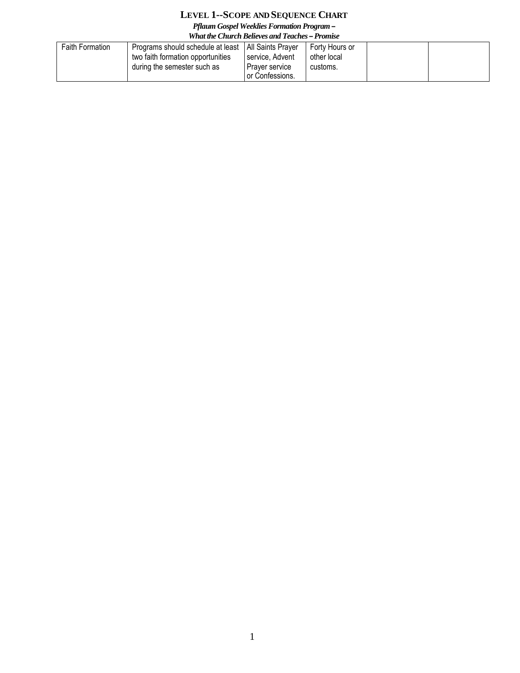## **LEVEL 1--SCOPE AND SEQUENCE CHART**

*Pflaum Gospel Weeklies Formation Program –*

| What the Church Believes and Teaches – Promise |                                                                                                       |                                                                                   |                                           |  |  |
|------------------------------------------------|-------------------------------------------------------------------------------------------------------|-----------------------------------------------------------------------------------|-------------------------------------------|--|--|
| <b>Faith Formation</b>                         | Programs should schedule at least<br>two faith formation opportunities<br>during the semester such as | All Saints Prayer<br>service, Advent<br><b>Prayer service</b><br>For Confessions. | Forty Hours or<br>other local<br>customs. |  |  |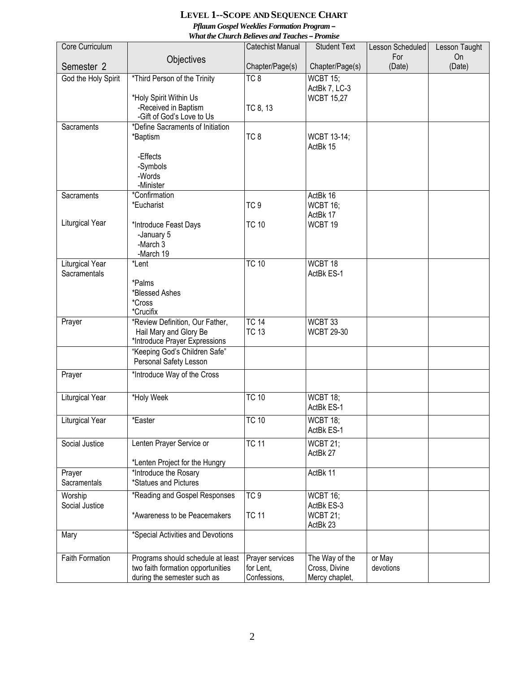## **LEVEL 1--SCOPE AND SEQUENCE CHART**  *Pflaum Gospel Weeklies Formation Program – What the Church Believes and Teaches – Promise*

|                        |                                                         | wnai ine Church Beueves and Teaches <del>–</del> Fromise |                             |                         |                     |
|------------------------|---------------------------------------------------------|----------------------------------------------------------|-----------------------------|-------------------------|---------------------|
| Core Curriculum        |                                                         | Catechist Manual                                         | <b>Student Text</b>         | Lesson Scheduled<br>For | Lesson Taught<br>On |
| Semester <sub>2</sub>  | Objectives                                              | Chapter/Page(s)                                          | Chapter/Page(s)             | (Date)                  | (Date)              |
| God the Holy Spirit    | *Third Person of the Trinity                            | TC <sub>8</sub>                                          | <b>WCBT 15;</b>             |                         |                     |
|                        |                                                         |                                                          | ActBk 7, LC-3               |                         |                     |
|                        | *Holy Spirit Within Us<br>-Received in Baptism          | TC 8, 13                                                 | <b>WCBT 15,27</b>           |                         |                     |
|                        | -Gift of God's Love to Us                               |                                                          |                             |                         |                     |
| Sacraments             | *Define Sacraments of Initiation                        |                                                          |                             |                         |                     |
|                        | *Baptism                                                | TC <sub>8</sub>                                          | WCBT 13-14;                 |                         |                     |
|                        | -Effects                                                |                                                          | ActBk 15                    |                         |                     |
|                        | -Symbols                                                |                                                          |                             |                         |                     |
|                        | -Words                                                  |                                                          |                             |                         |                     |
|                        | -Minister                                               |                                                          |                             |                         |                     |
| Sacraments             | *Confirmation                                           | TC <sub>9</sub>                                          | ActBk 16                    |                         |                     |
|                        | *Eucharist                                              |                                                          | <b>WCBT 16;</b><br>ActBk 17 |                         |                     |
| Liturgical Year        | *Introduce Feast Days                                   | <b>TC 10</b>                                             | WCBT 19                     |                         |                     |
|                        | -January 5                                              |                                                          |                             |                         |                     |
|                        | -March 3                                                |                                                          |                             |                         |                     |
| Liturgical Year        | -March 19<br>*Lent                                      | <b>TC 10</b>                                             | WCBT 18                     |                         |                     |
| Sacramentals           |                                                         |                                                          | ActBk ES-1                  |                         |                     |
|                        | *Palms                                                  |                                                          |                             |                         |                     |
|                        | *Blessed Ashes                                          |                                                          |                             |                         |                     |
|                        | *Cross<br>*Crucifix                                     |                                                          |                             |                         |                     |
| Prayer                 | *Review Definition, Our Father,                         | <b>TC 14</b>                                             | WCBT 33                     |                         |                     |
|                        | Hail Mary and Glory Be                                  | <b>TC 13</b>                                             | <b>WCBT 29-30</b>           |                         |                     |
|                        | *Introduce Prayer Expressions                           |                                                          |                             |                         |                     |
|                        | "Keeping God's Children Safe"<br>Personal Safety Lesson |                                                          |                             |                         |                     |
|                        |                                                         |                                                          |                             |                         |                     |
| Prayer                 | *Introduce Way of the Cross                             |                                                          |                             |                         |                     |
| <b>Liturgical Year</b> | *Holy Week                                              | <b>TC 10</b>                                             | WCBT 18;                    |                         |                     |
|                        |                                                         |                                                          | ActBk ES-1                  |                         |                     |
| Liturgical Year        | *Easter                                                 | TC 10                                                    | <b>WCBT 18;</b>             |                         |                     |
|                        |                                                         |                                                          | ActBk ES-1                  |                         |                     |
| Social Justice         | Lenten Prayer Service or                                | <b>TC 11</b>                                             | WCBT 21;                    |                         |                     |
|                        |                                                         |                                                          | ActBk 27                    |                         |                     |
| Prayer                 | *Lenten Project for the Hungry<br>*Introduce the Rosary |                                                          | ActBk 11                    |                         |                     |
| Sacramentals           | *Statues and Pictures                                   |                                                          |                             |                         |                     |
| Worship                | *Reading and Gospel Responses                           | TC <sub>9</sub>                                          | <b>WCBT 16;</b>             |                         |                     |
| Social Justice         |                                                         |                                                          | ActBk ES-3                  |                         |                     |
|                        | *Awareness to be Peacemakers                            | <b>TC 11</b>                                             | <b>WCBT 21;</b>             |                         |                     |
|                        |                                                         |                                                          | ActBk 23                    |                         |                     |
| Mary                   | *Special Activities and Devotions                       |                                                          |                             |                         |                     |
| Faith Formation        | Programs should schedule at least                       | Prayer services                                          | The Way of the              | or May                  |                     |
|                        | two faith formation opportunities                       | for Lent,                                                | Cross, Divine               | devotions               |                     |
|                        | during the semester such as                             | Confessions,                                             | Mercy chaplet,              |                         |                     |